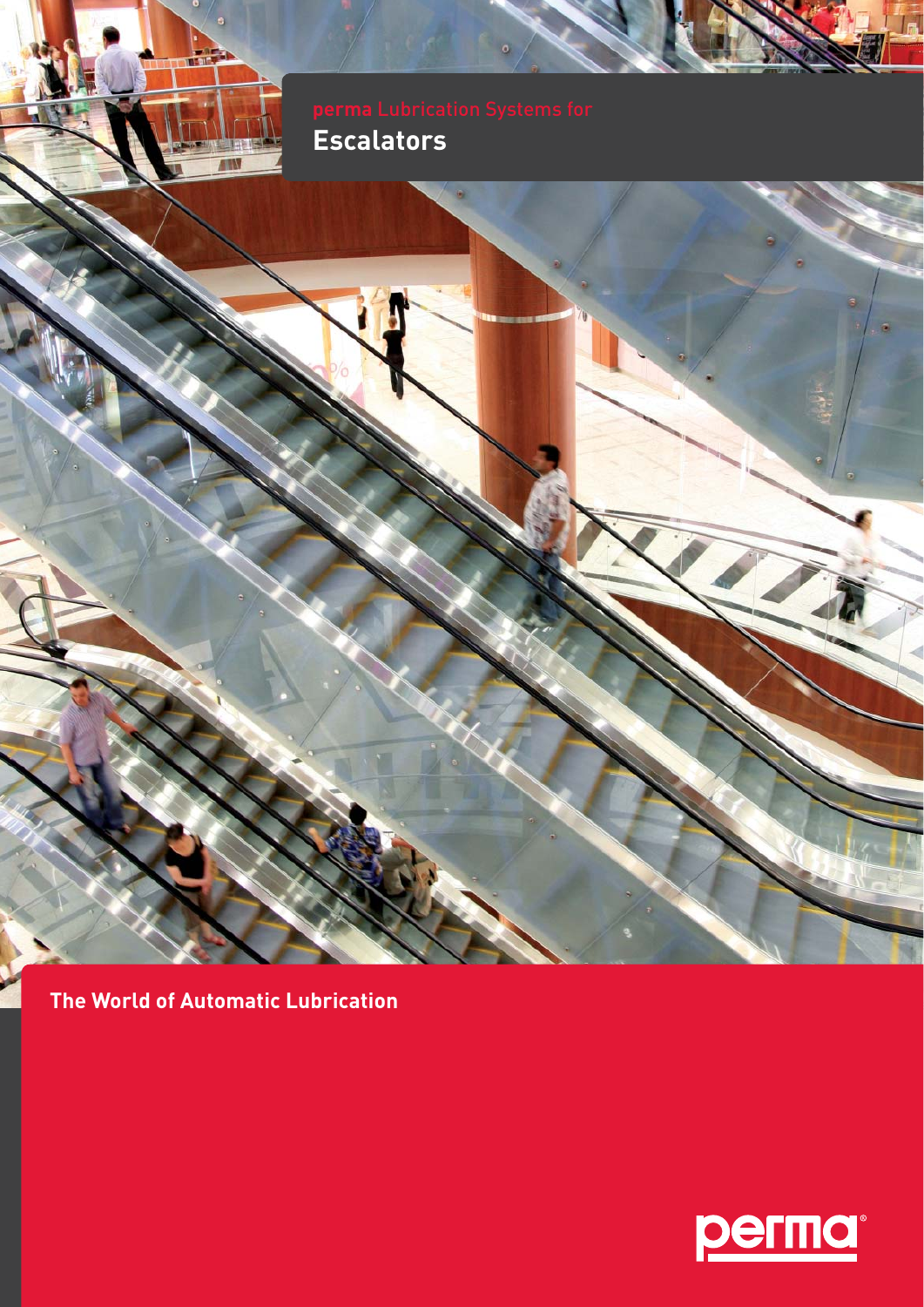# **Escalators**

**The World of Automatic Lubrication**

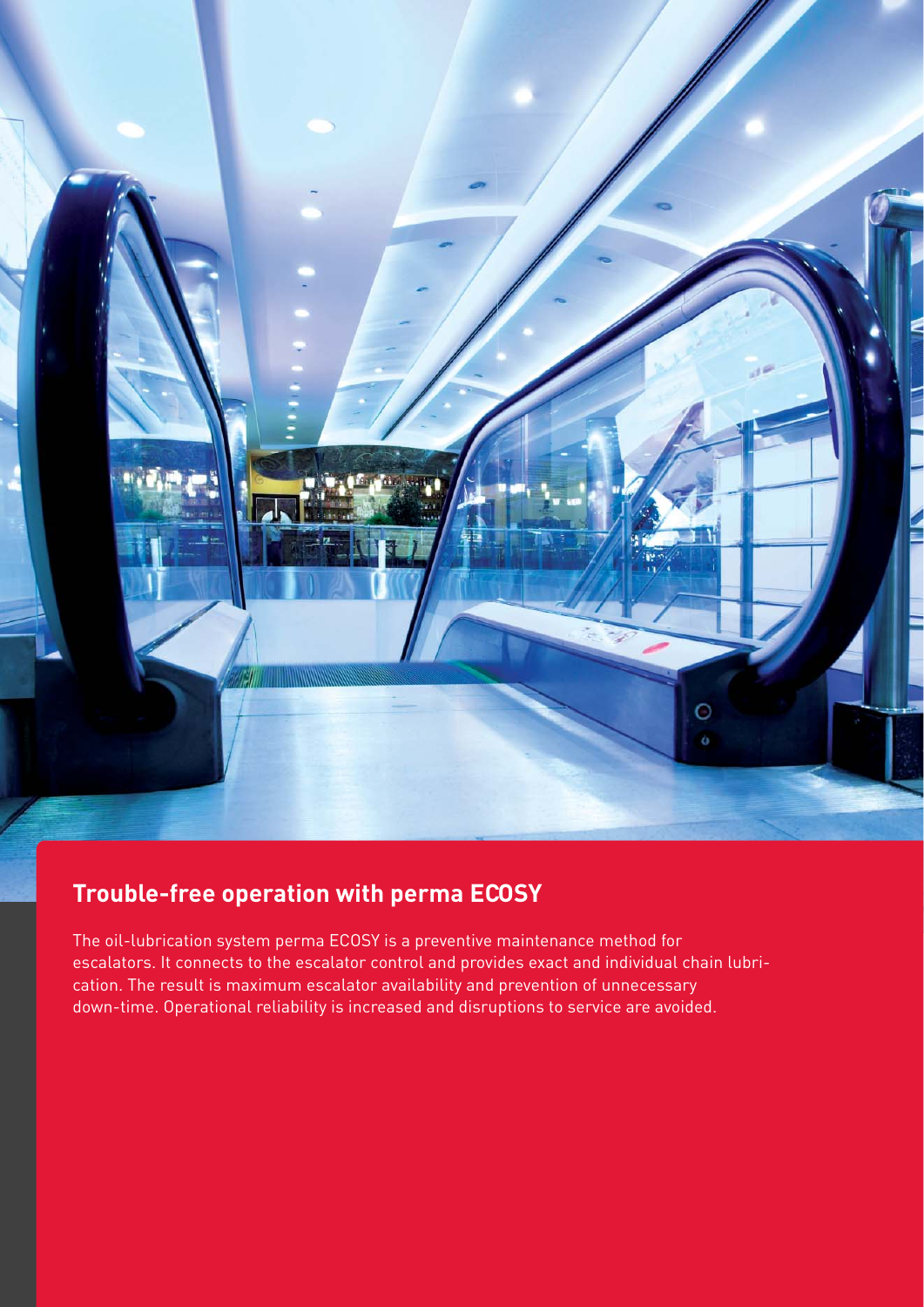

### **Trouble-free operation with perma ECOSY**

The oil-lubrication system perma ECOSY is a preventive maintenance method for escalators. It connects to the escalator control and provides exact and individual chain lubrication. The result is maximum escalator availability and prevention of unnecessary down-time. Operational reliability is increased and disruptions to service are avoided.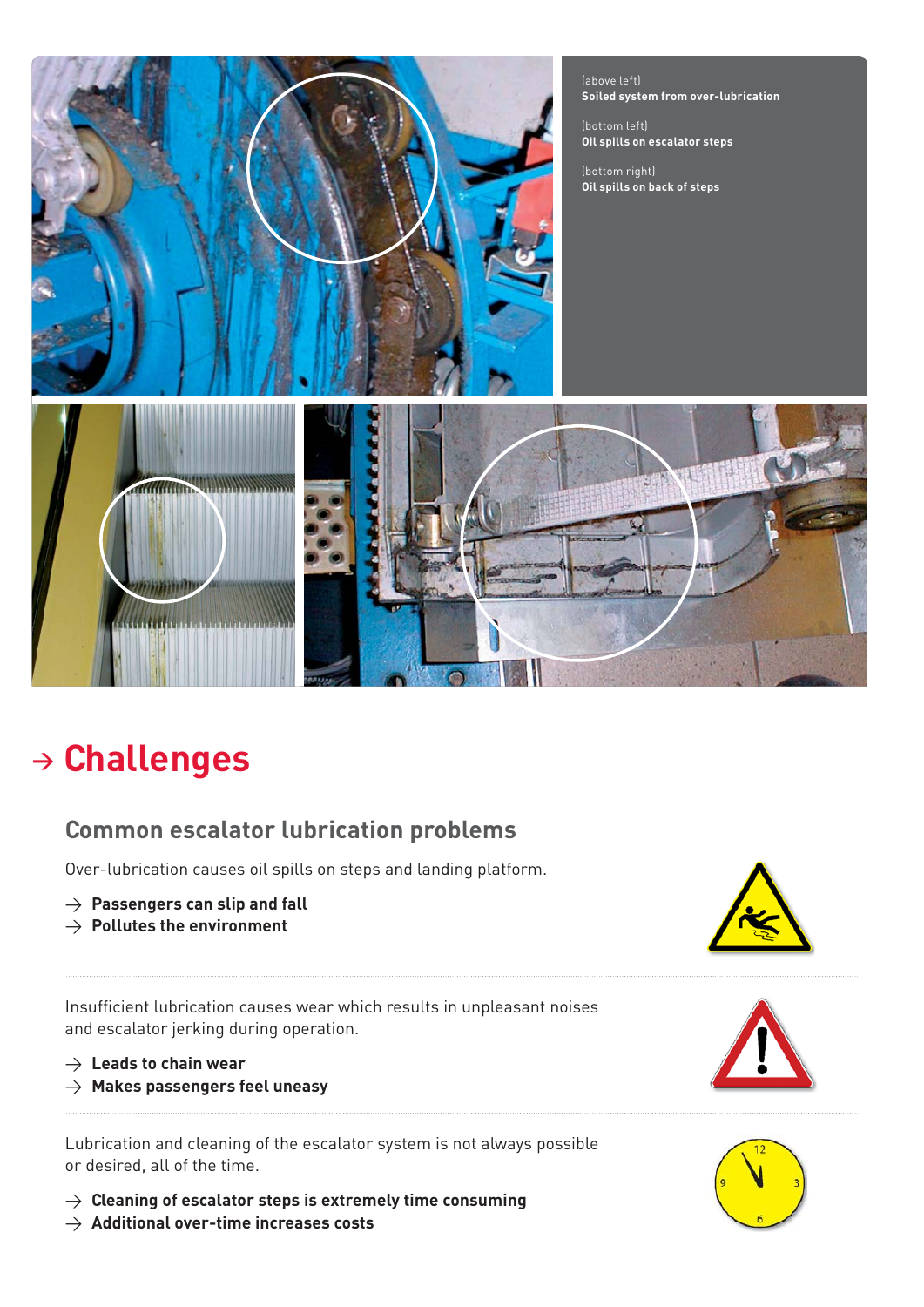

(above left) **Soiled system from over-lubrication**

(bottom left) **Oil spills on escalator steps**

(bottom right) **Oil spills on back of steps**



## **<sup>&</sup>gt; Challenges**

### **Common escalator lubrication problems**

Over-lubrication causes oil spills on steps and landing platform.

- > **Passengers can slip and fall**
- > **Pollutes the environment**

Insufficient lubrication causes wear which results in unpleasant noises and escalator jerking during operation.

- > **Leads to chain wear**
- > **Makes passengers feel uneasy**

Lubrication and cleaning of the escalator system is not always possible or desired, all of the time.

> **Cleaning of escalator steps is extremely time consuming**







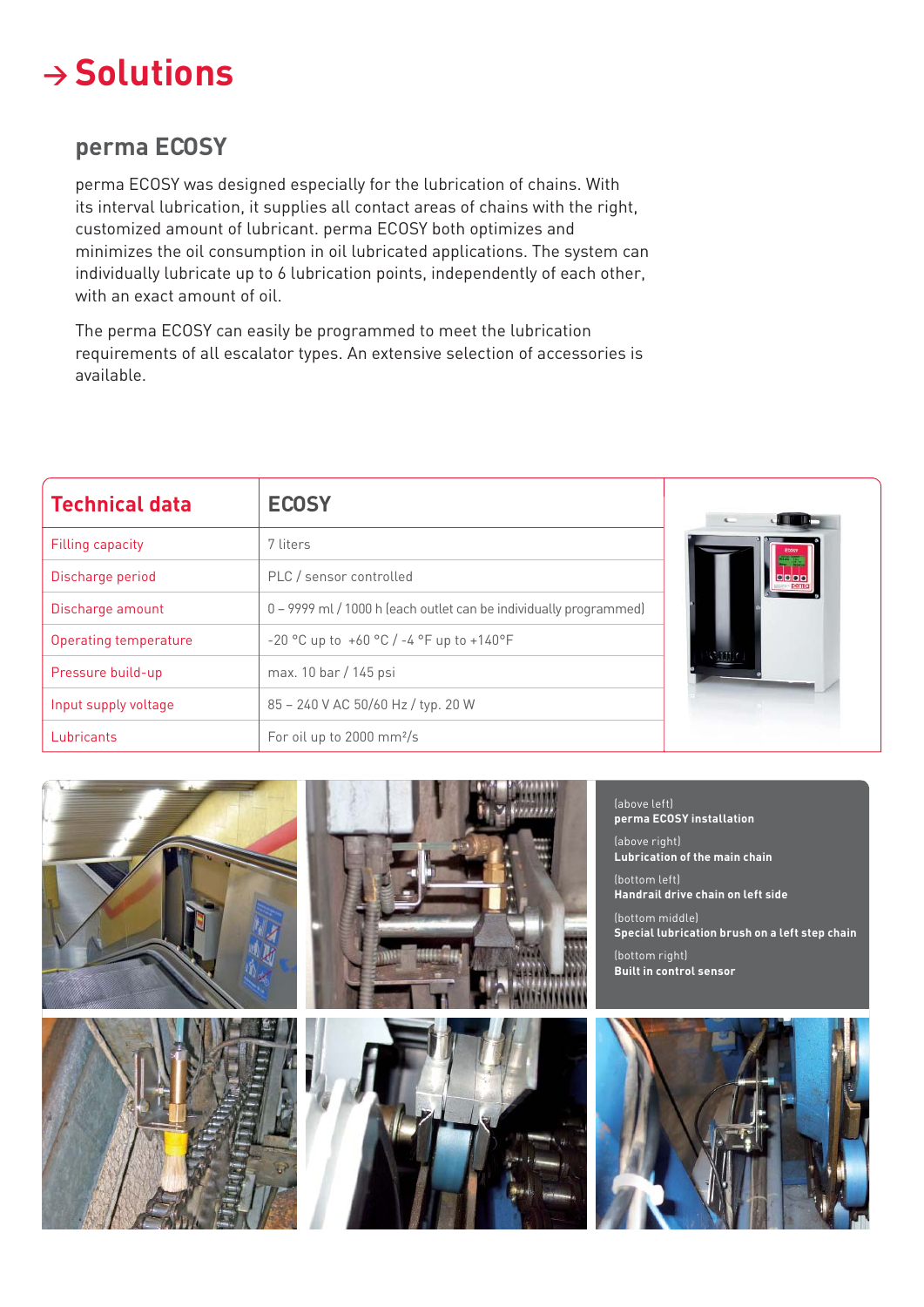

#### **perma ECOSY**

perma ECOSY was designed especially for the lubrication of chains. With its interval lubrication, it supplies all contact areas of chains with the right, customized amount of lubricant. perma ECOSY both optimizes and minimizes the oil consumption in oil lubricated applications. The system can individually lubricate up to 6 lubrication points, independently of each other, with an exact amount of oil.

The perma ECOSY can easily be programmed to meet the lubrication requirements of all escalator types. An extensive selection of accessories is available.

| <b>Technical data</b> | <b>ECOSY</b>                                                      |
|-----------------------|-------------------------------------------------------------------|
| Filling capacity      | 7 liters                                                          |
| Discharge period      | PLC / sensor controlled                                           |
| Discharge amount      | 0 - 9999 ml / 1000 h (each outlet can be individually programmed) |
| Operating temperature | $-20$ °C up to $+60$ °C $/$ -4 °F up to $+140$ °F                 |
| Pressure build-up     | max. 10 bar / 145 psi                                             |
| Input supply voltage  | 85 - 240 V AC 50/60 Hz / typ. 20 W                                |
| Lubricants            | For oil up to 2000 mm <sup>2</sup> /s                             |

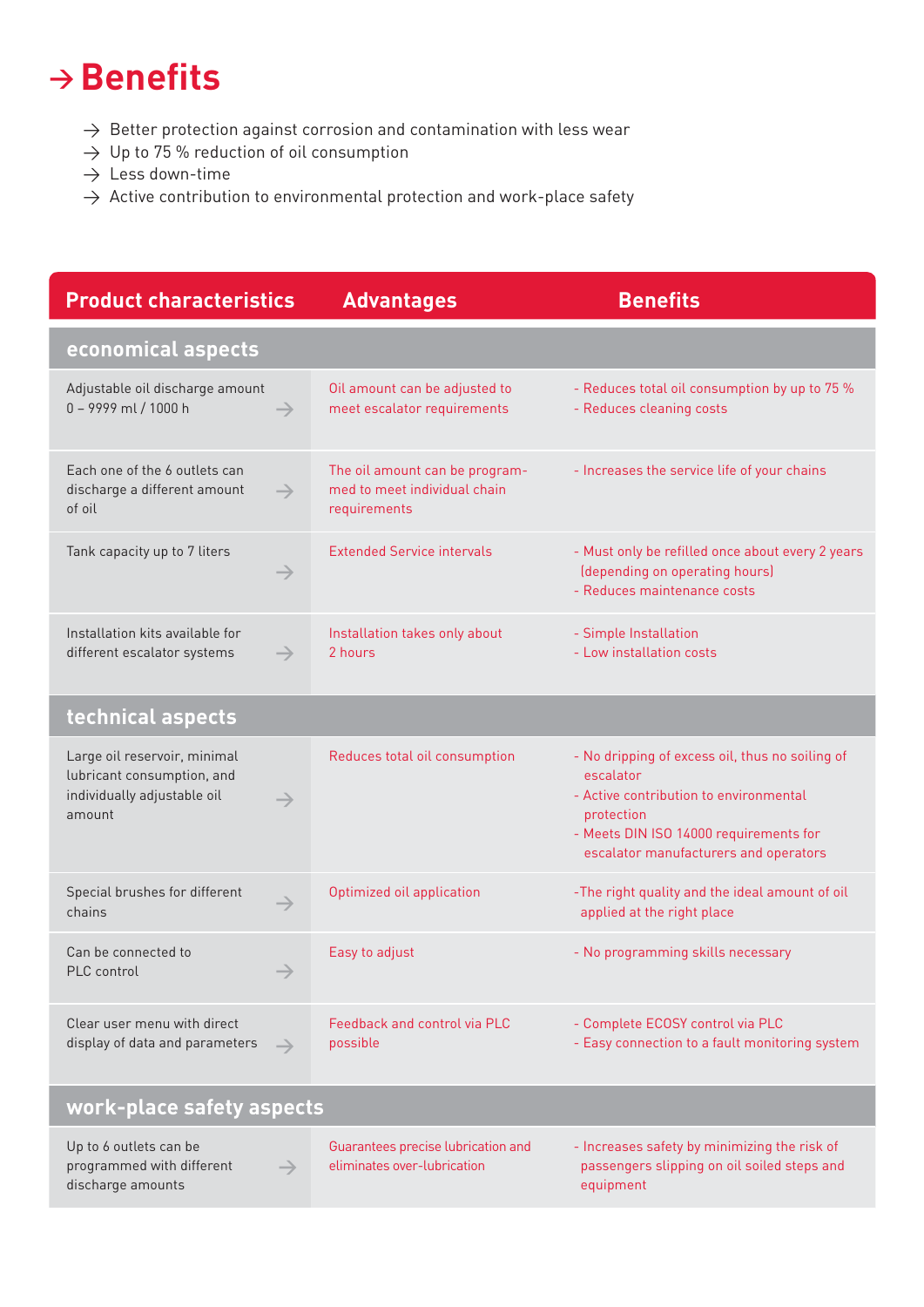### **→ Benefits**

- $\rightarrow$  Better protection against corrosion and contamination with less wear
- $\rightarrow$  Up to 75 % reduction of oil consumption
- $\rightarrow$  Less down-time
- $\rightarrow$  Active contribution to environmental protection and work-place safety

| <b>Product characteristics</b>                                                                                       | <b>Advantages</b>                                                              | <b>Benefits</b>                                                                                                                                                                                         |  |  |
|----------------------------------------------------------------------------------------------------------------------|--------------------------------------------------------------------------------|---------------------------------------------------------------------------------------------------------------------------------------------------------------------------------------------------------|--|--|
| economical aspects                                                                                                   |                                                                                |                                                                                                                                                                                                         |  |  |
| Adjustable oil discharge amount<br>0 - 9999 ml / 1000 h<br>$\rightarrow$                                             | Oil amount can be adjusted to<br>meet escalator requirements                   | - Reduces total oil consumption by up to 75 %<br>- Reduces cleaning costs                                                                                                                               |  |  |
| Each one of the 6 outlets can<br>discharge a different amount<br>$\rightarrow$<br>of oil                             | The oil amount can be program-<br>med to meet individual chain<br>requirements | - Increases the service life of your chains                                                                                                                                                             |  |  |
| Tank capacity up to 7 liters<br>$\rightarrow$                                                                        | <b>Extended Service intervals</b>                                              | - Must only be refilled once about every 2 years<br>(depending on operating hours)<br>- Reduces maintenance costs                                                                                       |  |  |
| Installation kits available for<br>different escalator systems<br>$\rightarrow$                                      | Installation takes only about<br>2 hours                                       | - Simple Installation<br>- Low installation costs                                                                                                                                                       |  |  |
| technical aspects                                                                                                    |                                                                                |                                                                                                                                                                                                         |  |  |
| Large oil reservoir, minimal<br>lubricant consumption, and<br>individually adjustable oil<br>$\rightarrow$<br>amount | Reduces total oil consumption                                                  | - No dripping of excess oil, thus no soiling of<br>escalator<br>- Active contribution to environmental<br>protection<br>- Meets DIN ISO 14000 requirements for<br>escalator manufacturers and operators |  |  |
| Special brushes for different<br>$\rightarrow$<br>chains                                                             | Optimized oil application                                                      | -The right quality and the ideal amount of oil<br>applied at the right place                                                                                                                            |  |  |
| Can be connected to<br>PLC control                                                                                   | Easy to adjust                                                                 | - No programming skills necessary                                                                                                                                                                       |  |  |
| Clear user menu with direct<br>display of data and parameters<br>$\rightarrow$                                       | Feedback and control via PLC<br>possible                                       | - Complete ECOSY control via PLC<br>- Easy connection to a fault monitoring system                                                                                                                      |  |  |
| work-place safety aspects                                                                                            |                                                                                |                                                                                                                                                                                                         |  |  |

| Up to 6 outlets can be                     | Guarantees precise lubrication and | - Increases safety by minimizing the risk of |
|--------------------------------------------|------------------------------------|----------------------------------------------|
| programmed with different<br>$\rightarrow$ | eliminates over-lubrication        | passengers slipping on oil soiled steps and  |
| discharge amounts                          |                                    | equipment                                    |